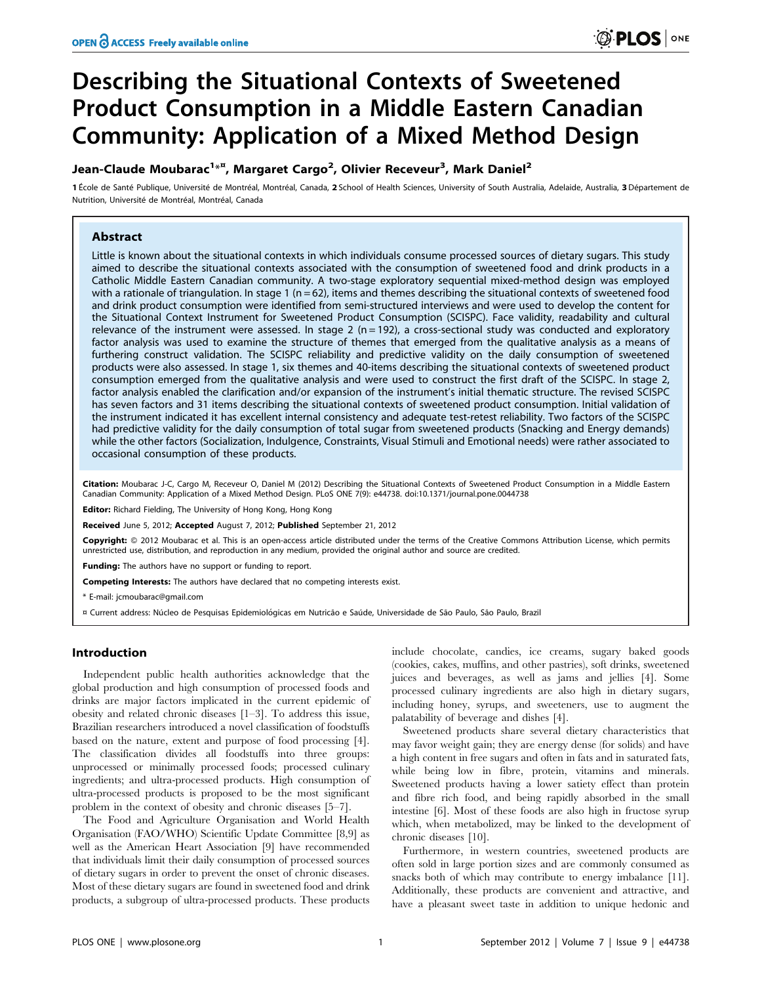# Describing the Situational Contexts of Sweetened Product Consumption in a Middle Eastern Canadian Community: Application of a Mixed Method Design

# Jean-Claude Moubarac<sup>1</sup>\*<sup>¤</sup>, Margaret Cargo<sup>2</sup>, Olivier Receveur<sup>3</sup>, Mark Daniel<sup>2</sup>

1 École de Santé Publique, Université de Montréal, Montréal, Canada, 2 School of Health Sciences, University of South Australia, Adelaide, Australia, 3 Département de Nutrition, Université de Montréal, Montréal, Canada

# Abstract

Little is known about the situational contexts in which individuals consume processed sources of dietary sugars. This study aimed to describe the situational contexts associated with the consumption of sweetened food and drink products in a Catholic Middle Eastern Canadian community. A two-stage exploratory sequential mixed-method design was employed with a rationale of triangulation. In stage 1 ( $n = 62$ ), items and themes describing the situational contexts of sweetened food and drink product consumption were identified from semi-structured interviews and were used to develop the content for the Situational Context Instrument for Sweetened Product Consumption (SCISPC). Face validity, readability and cultural relevance of the instrument were assessed. In stage 2 ( $n = 192$ ), a cross-sectional study was conducted and exploratory factor analysis was used to examine the structure of themes that emerged from the qualitative analysis as a means of furthering construct validation. The SCISPC reliability and predictive validity on the daily consumption of sweetened products were also assessed. In stage 1, six themes and 40-items describing the situational contexts of sweetened product consumption emerged from the qualitative analysis and were used to construct the first draft of the SCISPC. In stage 2, factor analysis enabled the clarification and/or expansion of the instrument's initial thematic structure. The revised SCISPC has seven factors and 31 items describing the situational contexts of sweetened product consumption. Initial validation of the instrument indicated it has excellent internal consistency and adequate test-retest reliability. Two factors of the SCISPC had predictive validity for the daily consumption of total sugar from sweetened products (Snacking and Energy demands) while the other factors (Socialization, Indulgence, Constraints, Visual Stimuli and Emotional needs) were rather associated to occasional consumption of these products.

Citation: Moubarac J-C, Cargo M, Receveur O, Daniel M (2012) Describing the Situational Contexts of Sweetened Product Consumption in a Middle Eastern Canadian Community: Application of a Mixed Method Design. PLoS ONE 7(9): e44738. doi:10.1371/journal.pone.0044738

Editor: Richard Fielding, The University of Hong Kong, Hong Kong

Received June 5, 2012; Accepted August 7, 2012; Published September 21, 2012

**Copyright:** © 2012 Moubarac et al. This is an open-access article distributed under the terms of the Creative Commons Attribution License, which permits unrestricted use, distribution, and reproduction in any medium, provided the original author and source are credited.

Funding: The authors have no support or funding to report.

Competing Interests: The authors have declared that no competing interests exist.

\* E-mail: jcmoubarac@gmail.com

¤ Current address: Núcleo de Pesquisas Epidemiológicas em Nutricão e Saúde, Universidade de São Paulo, São Paulo, Brazil

# Introduction

Independent public health authorities acknowledge that the global production and high consumption of processed foods and drinks are major factors implicated in the current epidemic of obesity and related chronic diseases [1–3]. To address this issue, Brazilian researchers introduced a novel classification of foodstuffs based on the nature, extent and purpose of food processing [4]. The classification divides all foodstuffs into three groups: unprocessed or minimally processed foods; processed culinary ingredients; and ultra-processed products. High consumption of ultra-processed products is proposed to be the most significant problem in the context of obesity and chronic diseases [5–7].

The Food and Agriculture Organisation and World Health Organisation (FAO/WHO) Scientific Update Committee [8,9] as well as the American Heart Association [9] have recommended that individuals limit their daily consumption of processed sources of dietary sugars in order to prevent the onset of chronic diseases. Most of these dietary sugars are found in sweetened food and drink products, a subgroup of ultra-processed products. These products

include chocolate, candies, ice creams, sugary baked goods (cookies, cakes, muffins, and other pastries), soft drinks, sweetened juices and beverages, as well as jams and jellies [4]. Some processed culinary ingredients are also high in dietary sugars, including honey, syrups, and sweeteners, use to augment the palatability of beverage and dishes [4].

Sweetened products share several dietary characteristics that may favor weight gain; they are energy dense (for solids) and have a high content in free sugars and often in fats and in saturated fats, while being low in fibre, protein, vitamins and minerals. Sweetened products having a lower satiety effect than protein and fibre rich food, and being rapidly absorbed in the small intestine [6]. Most of these foods are also high in fructose syrup which, when metabolized, may be linked to the development of chronic diseases [10].

Furthermore, in western countries, sweetened products are often sold in large portion sizes and are commonly consumed as snacks both of which may contribute to energy imbalance [11]. Additionally, these products are convenient and attractive, and have a pleasant sweet taste in addition to unique hedonic and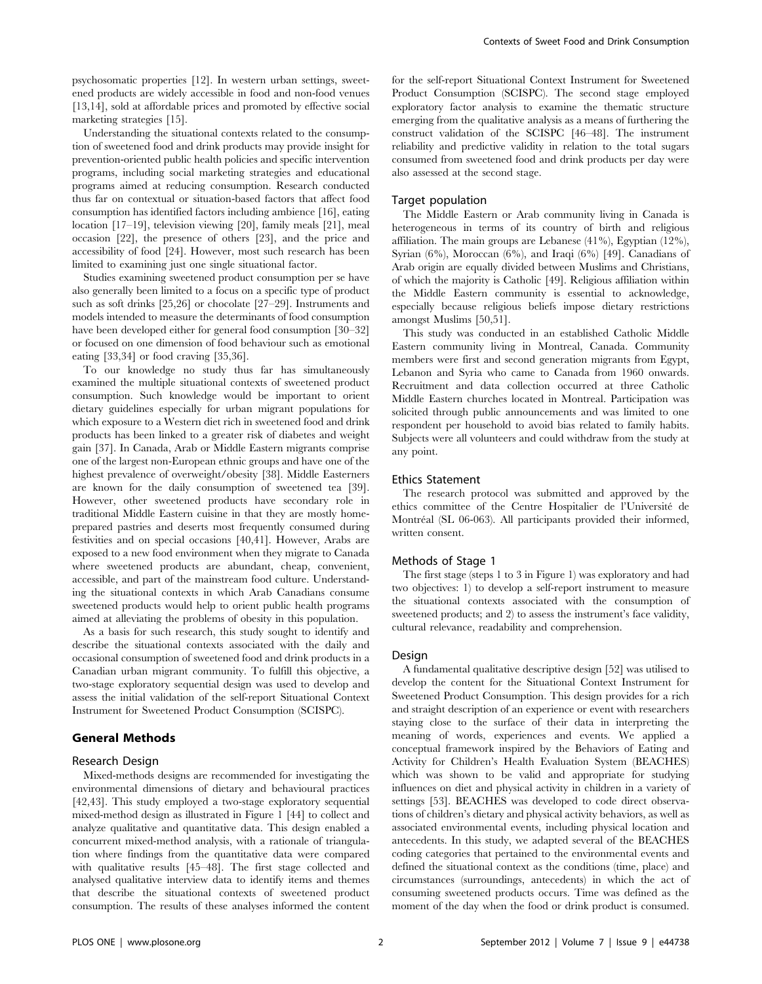psychosomatic properties [12]. In western urban settings, sweetened products are widely accessible in food and non-food venues [13,14], sold at affordable prices and promoted by effective social marketing strategies [15].

Understanding the situational contexts related to the consumption of sweetened food and drink products may provide insight for prevention-oriented public health policies and specific intervention programs, including social marketing strategies and educational programs aimed at reducing consumption. Research conducted thus far on contextual or situation-based factors that affect food consumption has identified factors including ambience [16], eating location [17–19], television viewing [20], family meals [21], meal occasion [22], the presence of others [23], and the price and accessibility of food [24]. However, most such research has been limited to examining just one single situational factor.

Studies examining sweetened product consumption per se have also generally been limited to a focus on a specific type of product such as soft drinks [25,26] or chocolate [27–29]. Instruments and models intended to measure the determinants of food consumption have been developed either for general food consumption [30–32] or focused on one dimension of food behaviour such as emotional eating [33,34] or food craving [35,36].

To our knowledge no study thus far has simultaneously examined the multiple situational contexts of sweetened product consumption. Such knowledge would be important to orient dietary guidelines especially for urban migrant populations for which exposure to a Western diet rich in sweetened food and drink products has been linked to a greater risk of diabetes and weight gain [37]. In Canada, Arab or Middle Eastern migrants comprise one of the largest non-European ethnic groups and have one of the highest prevalence of overweight/obesity [38]. Middle Easterners are known for the daily consumption of sweetened tea [39]. However, other sweetened products have secondary role in traditional Middle Eastern cuisine in that they are mostly homeprepared pastries and deserts most frequently consumed during festivities and on special occasions [40,41]. However, Arabs are exposed to a new food environment when they migrate to Canada where sweetened products are abundant, cheap, convenient, accessible, and part of the mainstream food culture. Understanding the situational contexts in which Arab Canadians consume sweetened products would help to orient public health programs aimed at alleviating the problems of obesity in this population.

As a basis for such research, this study sought to identify and describe the situational contexts associated with the daily and occasional consumption of sweetened food and drink products in a Canadian urban migrant community. To fulfill this objective, a two-stage exploratory sequential design was used to develop and assess the initial validation of the self-report Situational Context Instrument for Sweetened Product Consumption (SCISPC).

# General Methods

## Research Design

Mixed-methods designs are recommended for investigating the environmental dimensions of dietary and behavioural practices [42,43]. This study employed a two-stage exploratory sequential mixed-method design as illustrated in Figure 1 [44] to collect and analyze qualitative and quantitative data. This design enabled a concurrent mixed-method analysis, with a rationale of triangulation where findings from the quantitative data were compared with qualitative results [45–48]. The first stage collected and analysed qualitative interview data to identify items and themes that describe the situational contexts of sweetened product consumption. The results of these analyses informed the content for the self-report Situational Context Instrument for Sweetened Product Consumption (SCISPC). The second stage employed exploratory factor analysis to examine the thematic structure emerging from the qualitative analysis as a means of furthering the construct validation of the SCISPC [46–48]. The instrument reliability and predictive validity in relation to the total sugars consumed from sweetened food and drink products per day were also assessed at the second stage.

## Target population

The Middle Eastern or Arab community living in Canada is heterogeneous in terms of its country of birth and religious affiliation. The main groups are Lebanese (41%), Egyptian (12%), Syrian (6%), Moroccan (6%), and Iraqi (6%) [49]. Canadians of Arab origin are equally divided between Muslims and Christians, of which the majority is Catholic [49]. Religious affiliation within the Middle Eastern community is essential to acknowledge, especially because religious beliefs impose dietary restrictions amongst Muslims [50,51].

This study was conducted in an established Catholic Middle Eastern community living in Montreal, Canada. Community members were first and second generation migrants from Egypt, Lebanon and Syria who came to Canada from 1960 onwards. Recruitment and data collection occurred at three Catholic Middle Eastern churches located in Montreal. Participation was solicited through public announcements and was limited to one respondent per household to avoid bias related to family habits. Subjects were all volunteers and could withdraw from the study at any point.

## Ethics Statement

The research protocol was submitted and approved by the ethics committee of the Centre Hospitalier de l'Université de Montréal (SL 06-063). All participants provided their informed, written consent.

## Methods of Stage 1

The first stage (steps 1 to 3 in Figure 1) was exploratory and had two objectives: 1) to develop a self-report instrument to measure the situational contexts associated with the consumption of sweetened products; and 2) to assess the instrument's face validity, cultural relevance, readability and comprehension.

## Design

A fundamental qualitative descriptive design [52] was utilised to develop the content for the Situational Context Instrument for Sweetened Product Consumption. This design provides for a rich and straight description of an experience or event with researchers staying close to the surface of their data in interpreting the meaning of words, experiences and events. We applied a conceptual framework inspired by the Behaviors of Eating and Activity for Children's Health Evaluation System (BEACHES) which was shown to be valid and appropriate for studying influences on diet and physical activity in children in a variety of settings [53]. BEACHES was developed to code direct observations of children's dietary and physical activity behaviors, as well as associated environmental events, including physical location and antecedents. In this study, we adapted several of the BEACHES coding categories that pertained to the environmental events and defined the situational context as the conditions (time, place) and circumstances (surroundings, antecedents) in which the act of consuming sweetened products occurs. Time was defined as the moment of the day when the food or drink product is consumed.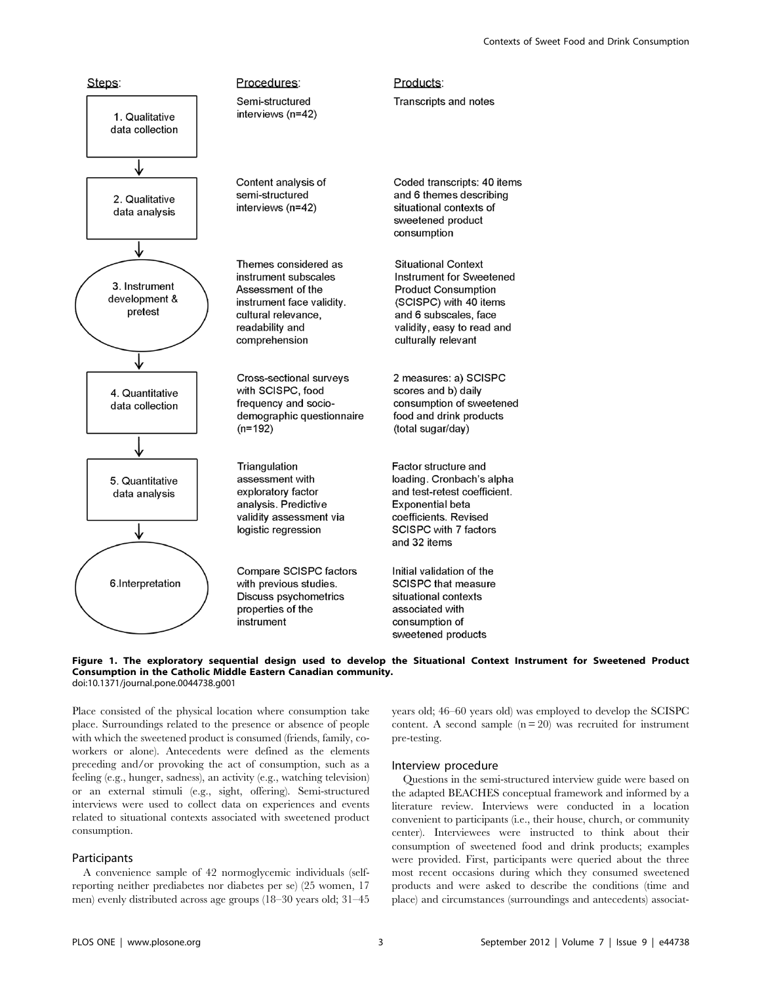



Place consisted of the physical location where consumption take place. Surroundings related to the presence or absence of people with which the sweetened product is consumed (friends, family, coworkers or alone). Antecedents were defined as the elements preceding and/or provoking the act of consumption, such as a feeling (e.g., hunger, sadness), an activity (e.g., watching television) or an external stimuli (e.g., sight, offering). Semi-structured interviews were used to collect data on experiences and events related to situational contexts associated with sweetened product consumption.

## **Participants**

A convenience sample of 42 normoglycemic individuals (selfreporting neither prediabetes nor diabetes per se) (25 women, 17 men) evenly distributed across age groups (18–30 years old; 31–45 years old; 46–60 years old) was employed to develop the SCISPC content. A second sample  $(n = 20)$  was recruited for instrument pre-testing.

# Interview procedure

Questions in the semi-structured interview guide were based on the adapted BEACHES conceptual framework and informed by a literature review. Interviews were conducted in a location convenient to participants (i.e., their house, church, or community center). Interviewees were instructed to think about their consumption of sweetened food and drink products; examples were provided. First, participants were queried about the three most recent occasions during which they consumed sweetened products and were asked to describe the conditions (time and place) and circumstances (surroundings and antecedents) associat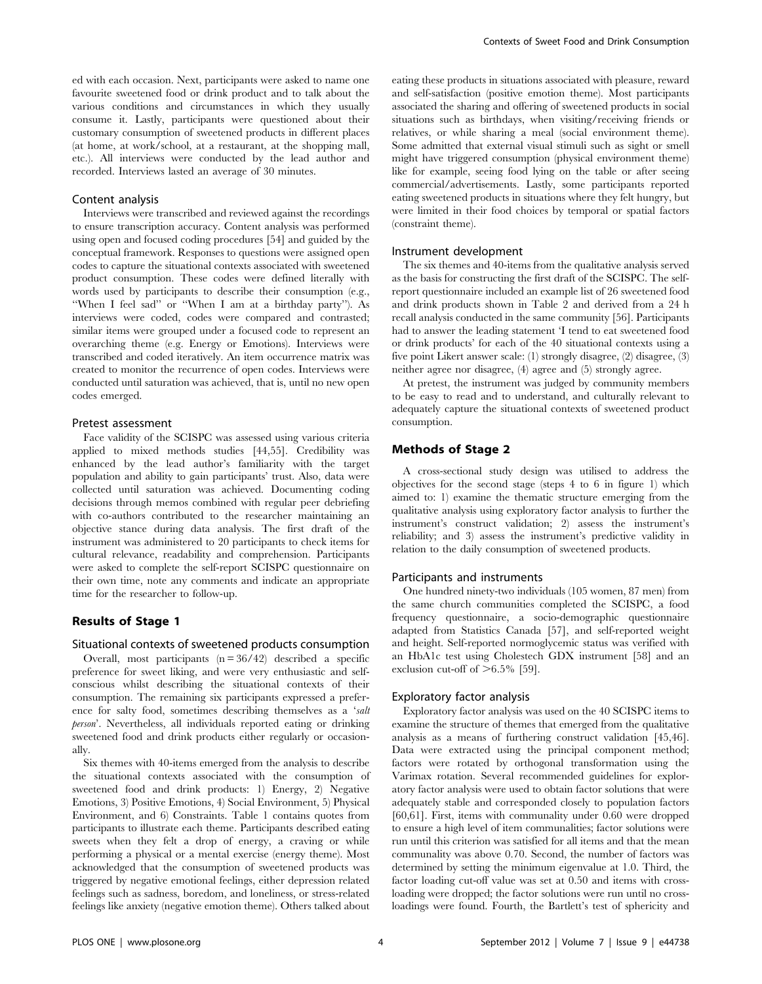ed with each occasion. Next, participants were asked to name one favourite sweetened food or drink product and to talk about the various conditions and circumstances in which they usually consume it. Lastly, participants were questioned about their customary consumption of sweetened products in different places (at home, at work/school, at a restaurant, at the shopping mall, etc.). All interviews were conducted by the lead author and recorded. Interviews lasted an average of 30 minutes.

## Content analysis

Interviews were transcribed and reviewed against the recordings to ensure transcription accuracy. Content analysis was performed using open and focused coding procedures [54] and guided by the conceptual framework. Responses to questions were assigned open codes to capture the situational contexts associated with sweetened product consumption. These codes were defined literally with words used by participants to describe their consumption (e.g., ''When I feel sad'' or ''When I am at a birthday party''). As interviews were coded, codes were compared and contrasted; similar items were grouped under a focused code to represent an overarching theme (e.g. Energy or Emotions). Interviews were transcribed and coded iteratively. An item occurrence matrix was created to monitor the recurrence of open codes. Interviews were conducted until saturation was achieved, that is, until no new open codes emerged.

## Pretest assessment

Face validity of the SCISPC was assessed using various criteria applied to mixed methods studies [44,55]. Credibility was enhanced by the lead author's familiarity with the target population and ability to gain participants' trust. Also, data were collected until saturation was achieved. Documenting coding decisions through memos combined with regular peer debriefing with co-authors contributed to the researcher maintaining an objective stance during data analysis. The first draft of the instrument was administered to 20 participants to check items for cultural relevance, readability and comprehension. Participants were asked to complete the self-report SCISPC questionnaire on their own time, note any comments and indicate an appropriate time for the researcher to follow-up.

## Results of Stage 1

# Situational contexts of sweetened products consumption

Overall, most participants  $(n = 36/42)$  described a specific preference for sweet liking, and were very enthusiastic and selfconscious whilst describing the situational contexts of their consumption. The remaining six participants expressed a preference for salty food, sometimes describing themselves as a 'salt person'. Nevertheless, all individuals reported eating or drinking sweetened food and drink products either regularly or occasionally.

Six themes with 40-items emerged from the analysis to describe the situational contexts associated with the consumption of sweetened food and drink products: 1) Energy, 2) Negative Emotions, 3) Positive Emotions, 4) Social Environment, 5) Physical Environment, and 6) Constraints. Table 1 contains quotes from participants to illustrate each theme. Participants described eating sweets when they felt a drop of energy, a craving or while performing a physical or a mental exercise (energy theme). Most acknowledged that the consumption of sweetened products was triggered by negative emotional feelings, either depression related feelings such as sadness, boredom, and loneliness, or stress-related feelings like anxiety (negative emotion theme). Others talked about

eating these products in situations associated with pleasure, reward and self-satisfaction (positive emotion theme). Most participants associated the sharing and offering of sweetened products in social situations such as birthdays, when visiting/receiving friends or relatives, or while sharing a meal (social environment theme). Some admitted that external visual stimuli such as sight or smell might have triggered consumption (physical environment theme) like for example, seeing food lying on the table or after seeing commercial/advertisements. Lastly, some participants reported eating sweetened products in situations where they felt hungry, but were limited in their food choices by temporal or spatial factors (constraint theme).

## Instrument development

The six themes and 40-items from the qualitative analysis served as the basis for constructing the first draft of the SCISPC. The selfreport questionnaire included an example list of 26 sweetened food and drink products shown in Table 2 and derived from a 24 h recall analysis conducted in the same community [56]. Participants had to answer the leading statement 'I tend to eat sweetened food or drink products' for each of the 40 situational contexts using a five point Likert answer scale: (1) strongly disagree, (2) disagree, (3) neither agree nor disagree, (4) agree and (5) strongly agree.

At pretest, the instrument was judged by community members to be easy to read and to understand, and culturally relevant to adequately capture the situational contexts of sweetened product consumption.

# Methods of Stage 2

A cross-sectional study design was utilised to address the objectives for the second stage (steps 4 to 6 in figure 1) which aimed to: 1) examine the thematic structure emerging from the qualitative analysis using exploratory factor analysis to further the instrument's construct validation; 2) assess the instrument's reliability; and 3) assess the instrument's predictive validity in relation to the daily consumption of sweetened products.

# Participants and instruments

One hundred ninety-two individuals (105 women, 87 men) from the same church communities completed the SCISPC, a food frequency questionnaire, a socio-demographic questionnaire adapted from Statistics Canada [57], and self-reported weight and height. Self-reported normoglycemic status was verified with an HbA1c test using Cholestech GDX instrument [58] and an exclusion cut-off of  $>6.5\%$  [59].

# Exploratory factor analysis

Exploratory factor analysis was used on the 40 SCISPC items to examine the structure of themes that emerged from the qualitative analysis as a means of furthering construct validation [45,46]. Data were extracted using the principal component method; factors were rotated by orthogonal transformation using the Varimax rotation. Several recommended guidelines for exploratory factor analysis were used to obtain factor solutions that were adequately stable and corresponded closely to population factors [60,61]. First, items with communality under 0.60 were dropped to ensure a high level of item communalities; factor solutions were run until this criterion was satisfied for all items and that the mean communality was above 0.70. Second, the number of factors was determined by setting the minimum eigenvalue at 1.0. Third, the factor loading cut-off value was set at 0.50 and items with crossloading were dropped; the factor solutions were run until no crossloadings were found. Fourth, the Bartlett's test of sphericity and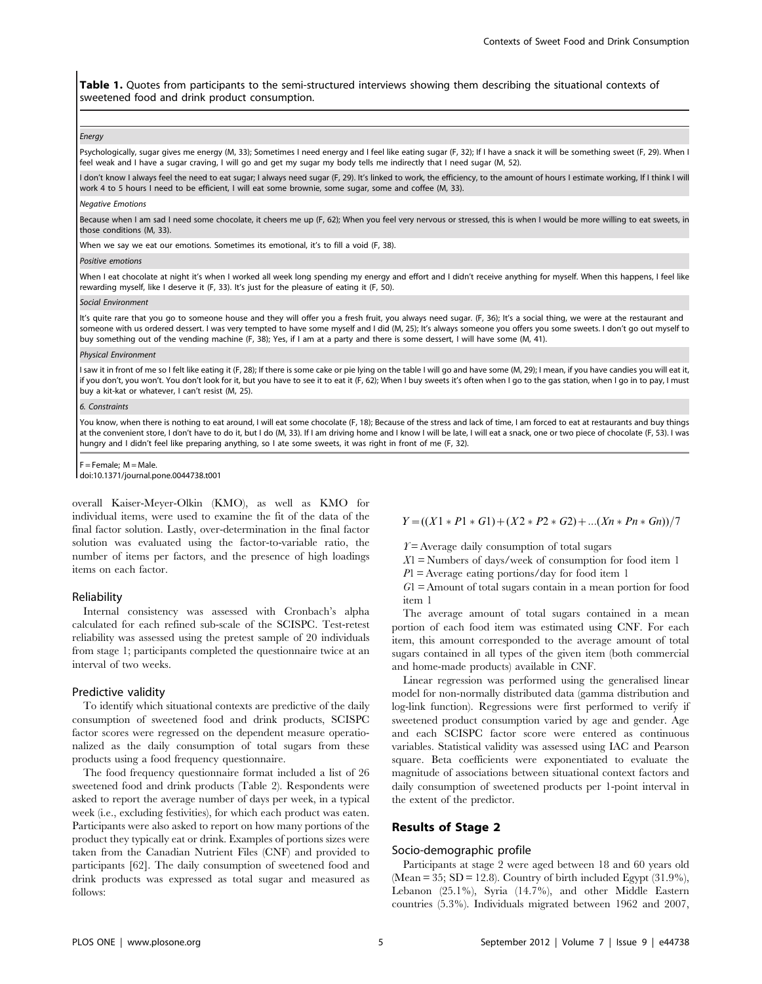Table 1. Quotes from participants to the semi-structured interviews showing them describing the situational contexts of sweetened food and drink product consumption.

## Energy

Psychologically, sugar gives me energy (M, 33); Sometimes I need energy and I feel like eating sugar (F, 32); If I have a snack it will be something sweet (F, 29). When I feel weak and I have a sugar craving, I will go and get my sugar my body tells me indirectly that I need sugar (M, 52).

I don't know I always feel the need to eat sugar; I always need sugar (F, 29). It's linked to work, the efficiency, to the amount of hours I estimate working, If I think I will work 4 to 5 hours I need to be efficient, I will eat some brownie, some sugar, some and coffee (M, 33).

#### Negative Emotions

Because when I am sad I need some chocolate, it cheers me up (F, 62); When you feel very nervous or stressed, this is when I would be more willing to eat sweets, in those conditions (M, 33).

When we say we eat our emotions. Sometimes its emotional, it's to fill a void (F, 38).

#### Positive emotions

When I eat chocolate at night it's when I worked all week long spending my energy and effort and I didn't receive anything for myself. When this happens, I feel like rewarding myself, like I deserve it (F, 33). It's just for the pleasure of eating it (F, 50).

#### Social Environment

It's quite rare that you go to someone house and they will offer you a fresh fruit, you always need sugar. (F, 36); It's a social thing, we were at the restaurant and someone with us ordered dessert. I was very tempted to have some myself and I did (M, 25); It's always someone you offers you some sweets. I don't go out myself to buy something out of the vending machine (F, 38); Yes, if I am at a party and there is some dessert, I will have some (M, 41).

#### Physical Environment

I saw it in front of me so I felt like eating it (F, 28); If there is some cake or pie lying on the table I will go and have some (M, 29); I mean, if you have candies you will eat it, if you don't, you won't. You don't look for it, but you have to see it to eat it (F, 62); When I buy sweets it's often when I go to the gas station, when I go in to pay, I must buy a kit-kat or whatever, I can't resist (M, 25).

#### 6. Constraints

You know, when there is nothing to eat around, I will eat some chocolate (F, 18); Because of the stress and lack of time, I am forced to eat at restaurants and buy things at the convenient store, I don't have to do it, but I do (M, 33). If I am driving home and I know I will be late, I will eat a snack, one or two piece of chocolate (F, 53). I was hungry and I didn't feel like preparing anything, so I ate some sweets, it was right in front of me (F, 32).

#### F = Female; M = Male.

doi:10.1371/journal.pone.0044738.t001

overall Kaiser-Meyer-Olkin (KMO), as well as KMO for individual items, were used to examine the fit of the data of the final factor solution. Lastly, over-determination in the final factor solution was evaluated using the factor-to-variable ratio, the number of items per factors, and the presence of high loadings items on each factor.

## Reliability

Internal consistency was assessed with Cronbach's alpha calculated for each refined sub-scale of the SCISPC. Test-retest reliability was assessed using the pretest sample of 20 individuals from stage 1; participants completed the questionnaire twice at an interval of two weeks.

## Predictive validity

To identify which situational contexts are predictive of the daily consumption of sweetened food and drink products, SCISPC factor scores were regressed on the dependent measure operationalized as the daily consumption of total sugars from these products using a food frequency questionnaire.

The food frequency questionnaire format included a list of 26 sweetened food and drink products (Table 2). Respondents were asked to report the average number of days per week, in a typical week (i.e., excluding festivities), for which each product was eaten. Participants were also asked to report on how many portions of the product they typically eat or drink. Examples of portions sizes were taken from the Canadian Nutrient Files (CNF) and provided to participants [62]. The daily consumption of sweetened food and drink products was expressed as total sugar and measured as follows:

 $Y = ((X1 * P1 * G1) + (X2 * P2 * G2) + ... (Xn * Pn * Gn))/7$ 

 $\gamma$ = Average daily consumption of total sugars

- $X1 =$  Numbers of days/week of consumption for food item 1
- $Pl =$  Average eating portions/day for food item 1
- $G1$  = Amount of total sugars contain in a mean portion for food item 1

The average amount of total sugars contained in a mean portion of each food item was estimated using CNF. For each item, this amount corresponded to the average amount of total sugars contained in all types of the given item (both commercial and home-made products) available in CNF.

Linear regression was performed using the generalised linear model for non-normally distributed data (gamma distribution and log-link function). Regressions were first performed to verify if sweetened product consumption varied by age and gender. Age and each SCISPC factor score were entered as continuous variables. Statistical validity was assessed using IAC and Pearson square. Beta coefficients were exponentiated to evaluate the magnitude of associations between situational context factors and daily consumption of sweetened products per 1-point interval in the extent of the predictor.

# Results of Stage 2

# Socio-demographic profile

Participants at stage 2 were aged between 18 and 60 years old  $(Mean = 35; SD = 12.8)$ . Country of birth included Egypt  $(31.9\%),$ Lebanon (25.1%), Syria (14.7%), and other Middle Eastern countries (5.3%). Individuals migrated between 1962 and 2007,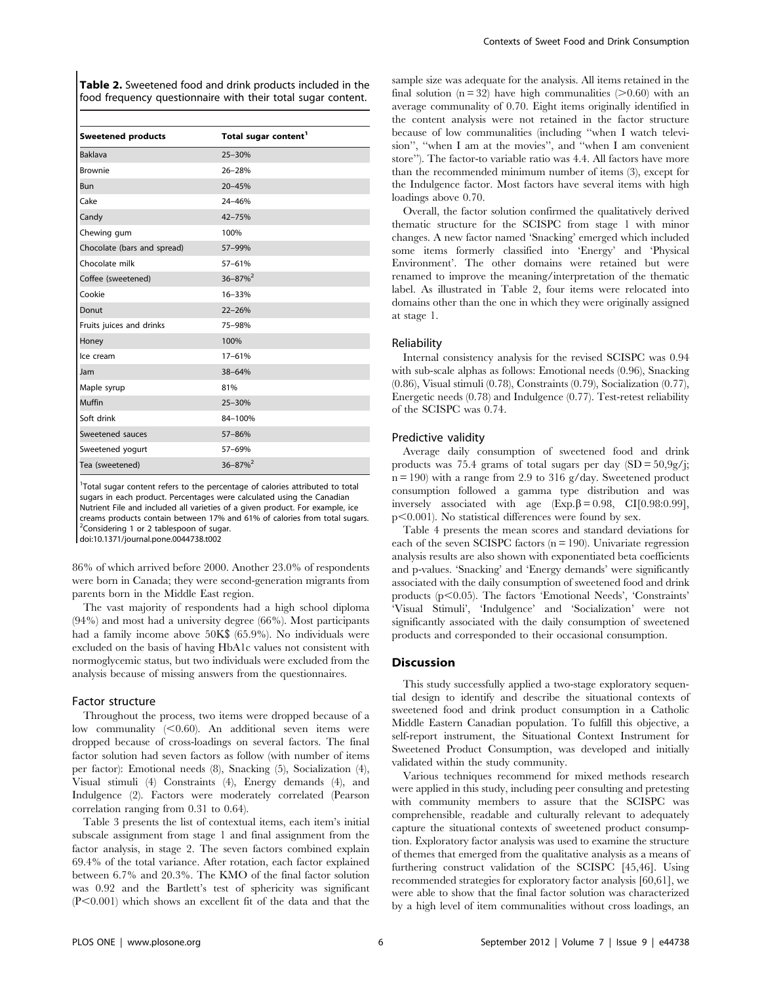Table 2. Sweetened food and drink products included in the food frequency questionnaire with their total sugar content.

| <b>Sweetened products</b>   | Total sugar content <sup>1</sup> |  |  |  |  |  |
|-----------------------------|----------------------------------|--|--|--|--|--|
| Baklava                     | $25 - 30%$                       |  |  |  |  |  |
| Brownie                     | 26-28%                           |  |  |  |  |  |
| <b>Bun</b>                  | 20-45%                           |  |  |  |  |  |
| Cake                        | 24-46%                           |  |  |  |  |  |
| Candy                       | 42-75%                           |  |  |  |  |  |
| Chewing gum                 | 100%                             |  |  |  |  |  |
| Chocolate (bars and spread) | 57-99%                           |  |  |  |  |  |
| Chocolate milk              | 57-61%                           |  |  |  |  |  |
| Coffee (sweetened)          | $36 - 87%$ <sup>2</sup>          |  |  |  |  |  |
| Cookie                      | 16-33%                           |  |  |  |  |  |
| Donut                       | $22 - 26%$                       |  |  |  |  |  |
| Fruits juices and drinks    | 75-98%                           |  |  |  |  |  |
| Honey                       | 100%                             |  |  |  |  |  |
| Ice cream                   | 17-61%                           |  |  |  |  |  |
| Jam                         | $38 - 64%$                       |  |  |  |  |  |
| Maple syrup                 | 81%                              |  |  |  |  |  |
| Muffin                      | 25-30%                           |  |  |  |  |  |
| Soft drink                  | 84-100%                          |  |  |  |  |  |
| Sweetened sauces            | 57-86%                           |  |  |  |  |  |
| Sweetened yogurt            | 57-69%                           |  |  |  |  |  |
| Tea (sweetened)             | $36 - 87\%$ <sup>2</sup>         |  |  |  |  |  |
|                             |                                  |  |  |  |  |  |

<sup>1</sup>Total sugar content refers to the percentage of calories attributed to total sugars in each product. Percentages were calculated using the Canadian Nutrient File and included all varieties of a given product. For example, ice creams products contain between 17% and 61% of calories from total sugars. <sup>2</sup> Considering 1 or 2 tablespoon of sugar.

doi:10.1371/journal.pone.0044738.t002

86% of which arrived before 2000. Another 23.0% of respondents were born in Canada; they were second-generation migrants from parents born in the Middle East region.

The vast majority of respondents had a high school diploma (94%) and most had a university degree (66%). Most participants had a family income above 50K\$ (65.9%). No individuals were excluded on the basis of having HbA1c values not consistent with normoglycemic status, but two individuals were excluded from the analysis because of missing answers from the questionnaires.

## Factor structure

Throughout the process, two items were dropped because of a low communality  $( $0.60$ ). An additional seven items were$ dropped because of cross-loadings on several factors. The final factor solution had seven factors as follow (with number of items per factor): Emotional needs (8), Snacking (5), Socialization (4), Visual stimuli (4) Constraints (4), Energy demands (4), and Indulgence (2). Factors were moderately correlated (Pearson correlation ranging from 0.31 to 0.64).

Table 3 presents the list of contextual items, each item's initial subscale assignment from stage 1 and final assignment from the factor analysis, in stage 2. The seven factors combined explain 69.4% of the total variance. After rotation, each factor explained between 6.7% and 20.3%. The KMO of the final factor solution was 0.92 and the Bartlett's test of sphericity was significant  $(P<0.001)$  which shows an excellent fit of the data and that the

sample size was adequate for the analysis. All items retained in the final solution ( $n = 32$ ) have high communalities ( $> 0.60$ ) with an average communality of 0.70. Eight items originally identified in the content analysis were not retained in the factor structure because of low communalities (including ''when I watch television'', ''when I am at the movies'', and ''when I am convenient store''). The factor-to variable ratio was 4.4. All factors have more than the recommended minimum number of items (3), except for the Indulgence factor. Most factors have several items with high loadings above 0.70.

Overall, the factor solution confirmed the qualitatively derived thematic structure for the SCISPC from stage 1 with minor changes. A new factor named 'Snacking' emerged which included some items formerly classified into 'Energy' and 'Physical Environment'. The other domains were retained but were renamed to improve the meaning/interpretation of the thematic label. As illustrated in Table 2, four items were relocated into domains other than the one in which they were originally assigned at stage 1.

## Reliability

Internal consistency analysis for the revised SCISPC was 0.94 with sub-scale alphas as follows: Emotional needs (0.96), Snacking (0.86), Visual stimuli (0.78), Constraints (0.79), Socialization (0.77), Energetic needs (0.78) and Indulgence (0.77). Test-retest reliability of the SCISPC was 0.74.

## Predictive validity

Average daily consumption of sweetened food and drink products was 75.4 grams of total sugars per day  $(SD = 50.9g/j;$  $n = 190$ ) with a range from 2.9 to 316 g/day. Sweetened product consumption followed a gamma type distribution and was inversely associated with age  $(Exp.\beta = 0.98, CI[0.98:0.99],$  $p<0.001$ ). No statistical differences were found by sex.

Table 4 presents the mean scores and standard deviations for each of the seven SCISPC factors  $(n = 190)$ . Univariate regression analysis results are also shown with exponentiated beta coefficients and p-values. 'Snacking' and 'Energy demands' were significantly associated with the daily consumption of sweetened food and drink products  $(p<0.05)$ . The factors 'Emotional Needs', 'Constraints' 'Visual Stimuli', 'Indulgence' and 'Socialization' were not significantly associated with the daily consumption of sweetened products and corresponded to their occasional consumption.

# **Discussion**

This study successfully applied a two-stage exploratory sequential design to identify and describe the situational contexts of sweetened food and drink product consumption in a Catholic Middle Eastern Canadian population. To fulfill this objective, a self-report instrument, the Situational Context Instrument for Sweetened Product Consumption, was developed and initially validated within the study community.

Various techniques recommend for mixed methods research were applied in this study, including peer consulting and pretesting with community members to assure that the SCISPC was comprehensible, readable and culturally relevant to adequately capture the situational contexts of sweetened product consumption. Exploratory factor analysis was used to examine the structure of themes that emerged from the qualitative analysis as a means of furthering construct validation of the SCISPC [45,46]. Using recommended strategies for exploratory factor analysis [60,61], we were able to show that the final factor solution was characterized by a high level of item communalities without cross loadings, an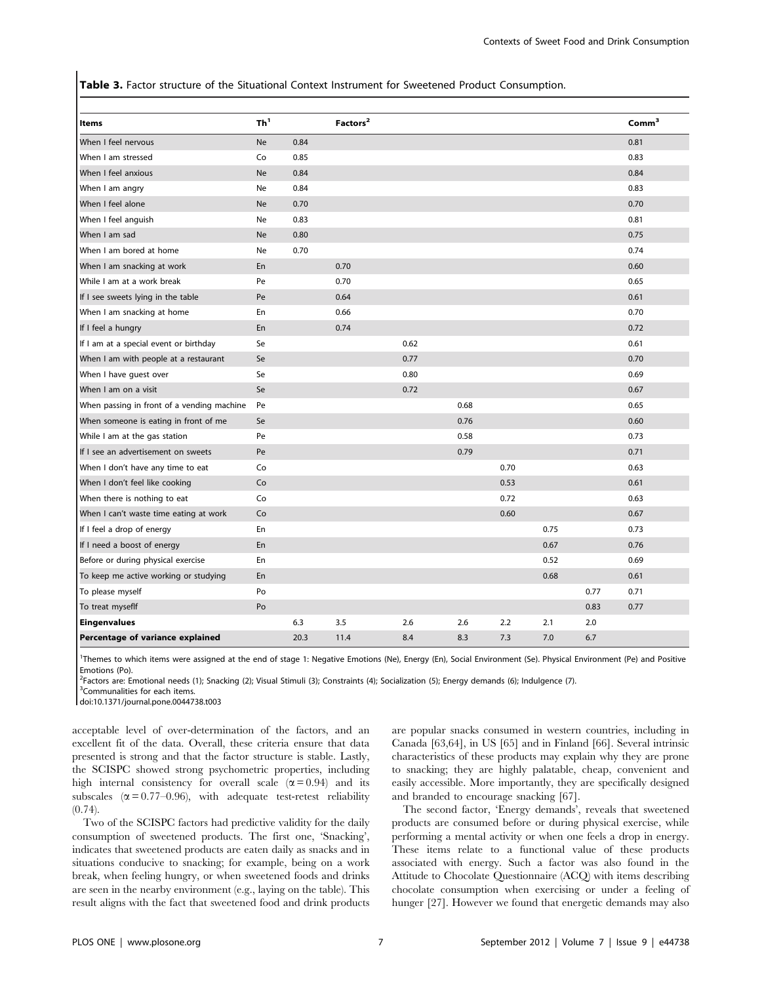Table 3. Factor structure of the Situational Context Instrument for Sweetened Product Consumption.

| <b>Items</b>                               | Th <sup>1</sup> |      | Factors <sup>2</sup> |      |      |      |      |      | Comm <sup>3</sup> |
|--------------------------------------------|-----------------|------|----------------------|------|------|------|------|------|-------------------|
| When I feel nervous                        | Ne              | 0.84 |                      |      |      |      |      |      | 0.81              |
| When I am stressed                         | Co              | 0.85 |                      |      |      |      |      |      | 0.83              |
| When I feel anxious                        | <b>Ne</b>       | 0.84 |                      |      |      |      |      |      | 0.84              |
| When I am angry                            | Ne              | 0.84 |                      |      |      |      |      |      | 0.83              |
| When I feel alone                          | Ne              | 0.70 |                      |      |      |      |      |      | 0.70              |
| When I feel anguish                        | Ne              | 0.83 |                      |      |      |      |      |      | 0.81              |
| When I am sad                              | Ne              | 0.80 |                      |      |      |      |      |      | 0.75              |
| When I am bored at home                    | Ne              | 0.70 |                      |      |      |      |      |      | 0.74              |
| When I am snacking at work                 | En              |      | 0.70                 |      |      |      |      |      | 0.60              |
| While I am at a work break                 | Pe              |      | 0.70                 |      |      |      |      |      | 0.65              |
| If I see sweets lying in the table         | Pe              |      | 0.64                 |      |      |      |      |      | 0.61              |
| When I am snacking at home                 | En              |      | 0.66                 |      |      |      |      |      | 0.70              |
| If I feel a hungry                         | En              |      | 0.74                 |      |      |      |      |      | 0.72              |
| If I am at a special event or birthday     | Se              |      |                      | 0.62 |      |      |      |      | 0.61              |
| When I am with people at a restaurant      | Se              |      |                      | 0.77 |      |      |      |      | 0.70              |
| When I have quest over                     | Se              |      |                      | 0.80 |      |      |      |      | 0.69              |
| When I am on a visit                       | Se              |      |                      | 0.72 |      |      |      |      | 0.67              |
| When passing in front of a vending machine | Pe              |      |                      |      | 0.68 |      |      |      | 0.65              |
| When someone is eating in front of me      | Se              |      |                      |      | 0.76 |      |      |      | 0.60              |
| While I am at the gas station              | Pe              |      |                      |      | 0.58 |      |      |      | 0.73              |
| If I see an advertisement on sweets        | Pe              |      |                      |      | 0.79 |      |      |      | 0.71              |
| When I don't have any time to eat          | Co              |      |                      |      |      | 0.70 |      |      | 0.63              |
| When I don't feel like cooking             | Co              |      |                      |      |      | 0.53 |      |      | 0.61              |
| When there is nothing to eat               | Co              |      |                      |      |      | 0.72 |      |      | 0.63              |
| When I can't waste time eating at work     | Co              |      |                      |      |      | 0.60 |      |      | 0.67              |
| If I feel a drop of energy                 | En              |      |                      |      |      |      | 0.75 |      | 0.73              |
| If I need a boost of energy                | En              |      |                      |      |      |      | 0.67 |      | 0.76              |
| Before or during physical exercise         | En              |      |                      |      |      |      | 0.52 |      | 0.69              |
| To keep me active working or studying      | En              |      |                      |      |      |      | 0.68 |      | 0.61              |
| To please myself                           | Po              |      |                      |      |      |      |      | 0.77 | 0.71              |
| To treat myseflf                           | Po              |      |                      |      |      |      |      | 0.83 | 0.77              |
| <b>Eingenvalues</b>                        |                 | 6.3  | 3.5                  | 2.6  | 2.6  | 2.2  | 2.1  | 2.0  |                   |
| Percentage of variance explained           |                 | 20.3 | 11.4                 | 8.4  | 8.3  | 7.3  | 7.0  | 6.7  |                   |

<sup>1</sup>Themes to which items were assigned at the end of stage 1: Negative Emotions (Ne), Energy (En), Social Environment (Se). Physical Environment (Pe) and Positive Emotions (Po).

2 Factors are: Emotional needs (1); Snacking (2); Visual Stimuli (3); Constraints (4); Socialization (5); Energy demands (6); Indulgence (7).

<sup>3</sup>Communalities for each items.

doi:10.1371/journal.pone.0044738.t003

acceptable level of over-determination of the factors, and an excellent fit of the data. Overall, these criteria ensure that data presented is strong and that the factor structure is stable. Lastly, the SCISPC showed strong psychometric properties, including high internal consistency for overall scale ( $\alpha$  = 0.94) and its subscales  $(\alpha = 0.77{\text -}0.96)$ , with adequate test-retest reliability  $(0.74)$ .

Two of the SCISPC factors had predictive validity for the daily consumption of sweetened products. The first one, 'Snacking', indicates that sweetened products are eaten daily as snacks and in situations conducive to snacking; for example, being on a work break, when feeling hungry, or when sweetened foods and drinks are seen in the nearby environment (e.g., laying on the table). This result aligns with the fact that sweetened food and drink products are popular snacks consumed in western countries, including in Canada [63,64], in US [65] and in Finland [66]. Several intrinsic characteristics of these products may explain why they are prone to snacking; they are highly palatable, cheap, convenient and easily accessible. More importantly, they are specifically designed and branded to encourage snacking [67].

The second factor, 'Energy demands', reveals that sweetened products are consumed before or during physical exercise, while performing a mental activity or when one feels a drop in energy. These items relate to a functional value of these products associated with energy. Such a factor was also found in the Attitude to Chocolate Questionnaire (ACQ) with items describing chocolate consumption when exercising or under a feeling of hunger [27]. However we found that energetic demands may also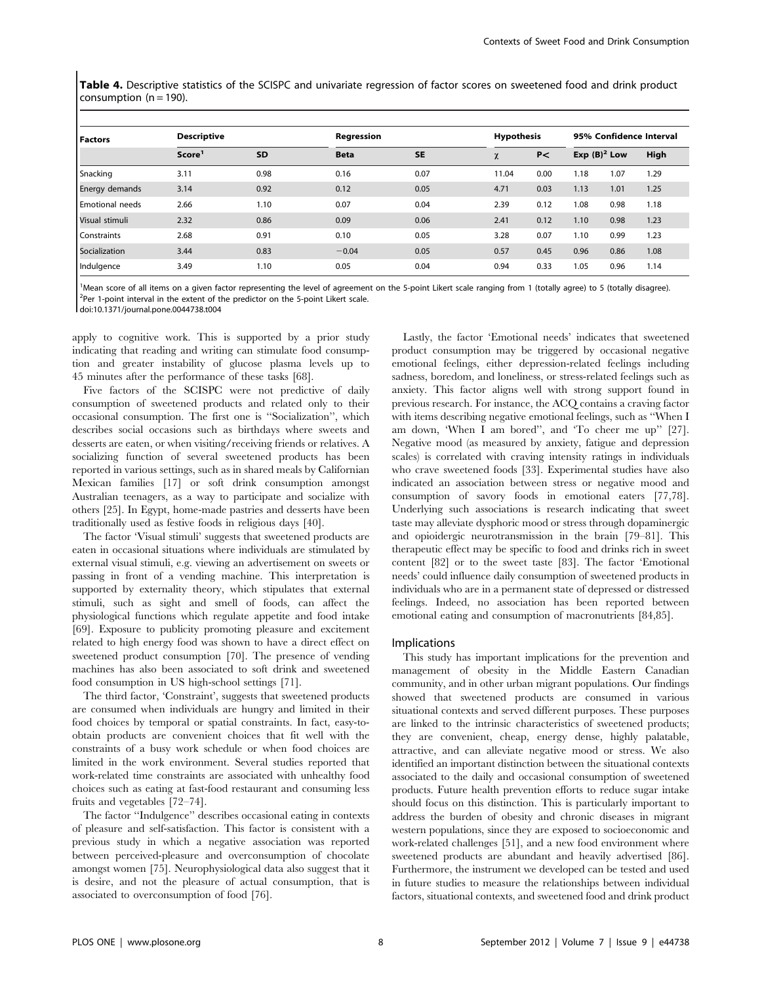Table 4. Descriptive statistics of the SCISPC and univariate regression of factor scores on sweetened food and drink product consumption  $(n = 190)$ .

| l Factors              | <b>Descriptive</b> |           |             | Regression |        | <b>Hypothesis</b> |      | 95% Confidence Interval |      |  |
|------------------------|--------------------|-----------|-------------|------------|--------|-------------------|------|-------------------------|------|--|
|                        | <b>Score</b>       | <b>SD</b> | <b>Beta</b> | <b>SE</b>  | $\chi$ | P<                |      | Exp $(B)^2$ Low         | High |  |
| Snacking               | 3.11               | 0.98      | 0.16        | 0.07       | 11.04  | 0.00              | 1.18 | 1.07                    | 1.29 |  |
| Energy demands         | 3.14               | 0.92      | 0.12        | 0.05       | 4.71   | 0.03              | 1.13 | 1.01                    | 1.25 |  |
| <b>Emotional needs</b> | 2.66               | 1.10      | 0.07        | 0.04       | 2.39   | 0.12              | 1.08 | 0.98                    | 1.18 |  |
| Visual stimuli         | 2.32               | 0.86      | 0.09        | 0.06       | 2.41   | 0.12              | 1.10 | 0.98                    | 1.23 |  |
| Constraints            | 2.68               | 0.91      | 0.10        | 0.05       | 3.28   | 0.07              | 1.10 | 0.99                    | 1.23 |  |
| Socialization          | 3.44               | 0.83      | $-0.04$     | 0.05       | 0.57   | 0.45              | 0.96 | 0.86                    | 1.08 |  |
| Indulgence             | 3.49               | 1.10      | 0.05        | 0.04       | 0.94   | 0.33              | 1.05 | 0.96                    | 1.14 |  |

<sup>1</sup>Mean score of all items on a given factor representing the level of agreement on the 5-point Likert scale ranging from 1 (totally agree) to 5 (totally disagree).<br><sup>2</sup>Per 1-point intenval in the extent of the predictor on  $^{2}$ Per 1-point interval in the extent of the predictor on the 5-point Likert scale.

doi:10.1371/journal.pone.0044738.t004

apply to cognitive work. This is supported by a prior study indicating that reading and writing can stimulate food consumption and greater instability of glucose plasma levels up to 45 minutes after the performance of these tasks [68].

Five factors of the SCISPC were not predictive of daily consumption of sweetened products and related only to their occasional consumption. The first one is ''Socialization'', which describes social occasions such as birthdays where sweets and desserts are eaten, or when visiting/receiving friends or relatives. A socializing function of several sweetened products has been reported in various settings, such as in shared meals by Californian Mexican families [17] or soft drink consumption amongst Australian teenagers, as a way to participate and socialize with others [25]. In Egypt, home-made pastries and desserts have been traditionally used as festive foods in religious days [40].

The factor 'Visual stimuli' suggests that sweetened products are eaten in occasional situations where individuals are stimulated by external visual stimuli, e.g. viewing an advertisement on sweets or passing in front of a vending machine. This interpretation is supported by externality theory, which stipulates that external stimuli, such as sight and smell of foods, can affect the physiological functions which regulate appetite and food intake [69]. Exposure to publicity promoting pleasure and excitement related to high energy food was shown to have a direct effect on sweetened product consumption [70]. The presence of vending machines has also been associated to soft drink and sweetened food consumption in US high-school settings [71].

The third factor, 'Constraint', suggests that sweetened products are consumed when individuals are hungry and limited in their food choices by temporal or spatial constraints. In fact, easy-toobtain products are convenient choices that fit well with the constraints of a busy work schedule or when food choices are limited in the work environment. Several studies reported that work-related time constraints are associated with unhealthy food choices such as eating at fast-food restaurant and consuming less fruits and vegetables [72–74].

The factor ''Indulgence'' describes occasional eating in contexts of pleasure and self-satisfaction. This factor is consistent with a previous study in which a negative association was reported between perceived-pleasure and overconsumption of chocolate amongst women [75]. Neurophysiological data also suggest that it is desire, and not the pleasure of actual consumption, that is associated to overconsumption of food [76].

Lastly, the factor 'Emotional needs' indicates that sweetened product consumption may be triggered by occasional negative emotional feelings, either depression-related feelings including sadness, boredom, and loneliness, or stress-related feelings such as anxiety. This factor aligns well with strong support found in previous research. For instance, the ACQ contains a craving factor with items describing negative emotional feelings, such as ''When I am down, 'When I am bored'', and 'To cheer me up'' [27]. Negative mood (as measured by anxiety, fatigue and depression scales) is correlated with craving intensity ratings in individuals who crave sweetened foods [33]. Experimental studies have also indicated an association between stress or negative mood and consumption of savory foods in emotional eaters [77,78]. Underlying such associations is research indicating that sweet taste may alleviate dysphoric mood or stress through dopaminergic and opioidergic neurotransmission in the brain [79–81]. This therapeutic effect may be specific to food and drinks rich in sweet content [82] or to the sweet taste [83]. The factor 'Emotional needs' could influence daily consumption of sweetened products in individuals who are in a permanent state of depressed or distressed feelings. Indeed, no association has been reported between emotional eating and consumption of macronutrients [84,85].

# Implications

This study has important implications for the prevention and management of obesity in the Middle Eastern Canadian community, and in other urban migrant populations. Our findings showed that sweetened products are consumed in various situational contexts and served different purposes. These purposes are linked to the intrinsic characteristics of sweetened products; they are convenient, cheap, energy dense, highly palatable, attractive, and can alleviate negative mood or stress. We also identified an important distinction between the situational contexts associated to the daily and occasional consumption of sweetened products. Future health prevention efforts to reduce sugar intake should focus on this distinction. This is particularly important to address the burden of obesity and chronic diseases in migrant western populations, since they are exposed to socioeconomic and work-related challenges [51], and a new food environment where sweetened products are abundant and heavily advertised [86]. Furthermore, the instrument we developed can be tested and used in future studies to measure the relationships between individual factors, situational contexts, and sweetened food and drink product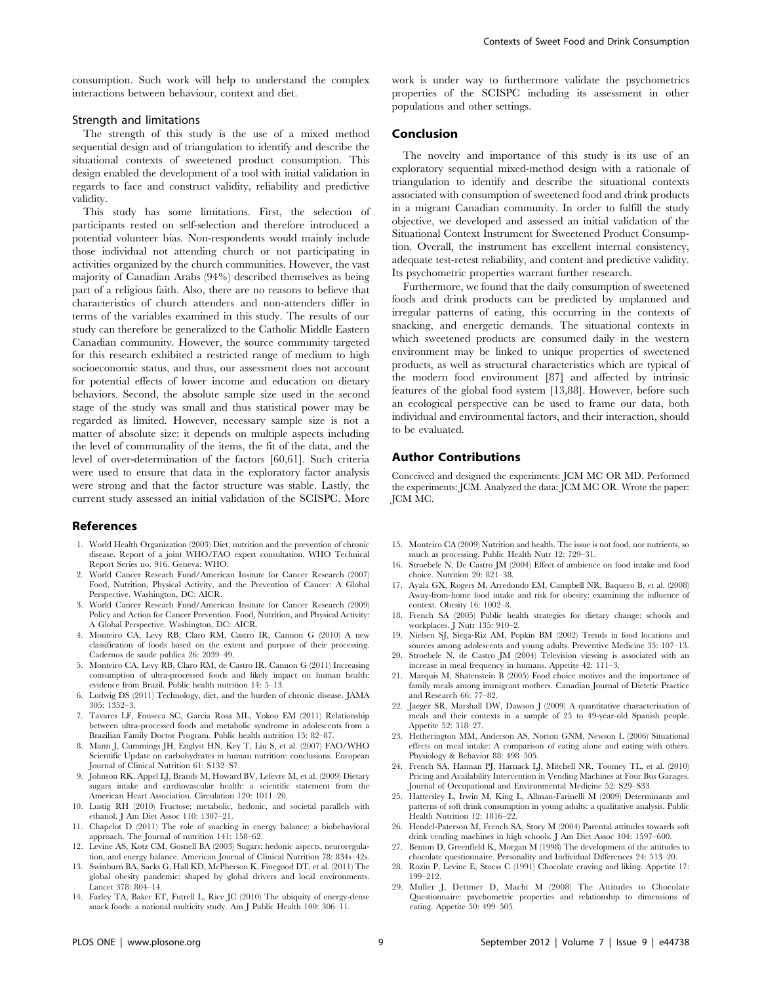consumption. Such work will help to understand the complex interactions between behaviour, context and diet.

## Strength and limitations

The strength of this study is the use of a mixed method sequential design and of triangulation to identify and describe the situational contexts of sweetened product consumption. This design enabled the development of a tool with initial validation in regards to face and construct validity, reliability and predictive validity.

This study has some limitations. First, the selection of participants rested on self-selection and therefore introduced a potential volunteer bias. Non-respondents would mainly include those individual not attending church or not participating in activities organized by the church communities. However, the vast majority of Canadian Arabs (94%) described themselves as being part of a religious faith. Also, there are no reasons to believe that characteristics of church attenders and non-attenders differ in terms of the variables examined in this study. The results of our study can therefore be generalized to the Catholic Middle Eastern Canadian community. However, the source community targeted for this research exhibited a restricted range of medium to high socioeconomic status, and thus, our assessment does not account for potential effects of lower income and education on dietary behaviors. Second, the absolute sample size used in the second stage of the study was small and thus statistical power may be regarded as limited. However, necessary sample size is not a matter of absolute size: it depends on multiple aspects including the level of communality of the items, the fit of the data, and the level of over-determination of the factors [60,61]. Such criteria were used to ensure that data in the exploratory factor analysis were strong and that the factor structure was stable. Lastly, the current study assessed an initial validation of the SCISPC. More

# References

- 1. World Health Organization (2003) Diet, nutrition and the prevention of chronic disease. Report of a joint WHO/FAO expert consultation. WHO Technical Report Series no. 916. Geneva: WHO.
- 2. World Cancer Researh Fund/American Insitute for Cancer Research (2007) Food, Nutrition, Physical Activity, and the Prevention of Cancer: A Global Perspective. Washington, DC: AICR.
- 3. World Cancer Researh Fund/American Insitute for Cancer Research (2009) Policy and Action for Cancer Prevention. Food, Nutrition, and Physical Activity: A Global Perspective. Washington, DC: AICR.
- 4. Monteiro CA, Levy RB, Claro RM, Castro IR, Cannon G (2010) A new classification of foods based on the extent and purpose of their processing. Cadernos de saude publica 26: 2039–49.
- 5. Monteiro CA, Levy RB, Claro RM, de Castro IR, Cannon G (2011) Increasing consumption of ultra-processed foods and likely impact on human health: evidence from Brazil. Public health nutrition 14: 5–13.
- 6. Ludwig DS (2011) Technology, diet, and the burden of chronic disease. JAMA 305: 1352–3.
- 7. Tavares LF, Fonseca SC, Garcia Rosa ML, Yokoo EM (2011) Relationship between ultra-processed foods and metabolic syndrome in adolescents from a Brazilian Family Doctor Program. Public health nutrition 15: 82–87.
- 8. Mann J, Cummings JH, Englyst HN, Key T, Liu S, et al. (2007) FAO/WHO Scientific Update on carbohydrates in human nutrition: conclusions. European Journal of Clinical Nutrition 61: S132–S7.
- 9. Johnson RK, Appel LJ, Brands M, Howard BV, Lefevre M, et al. (2009) Dietary sugars intake and cardiovascular health: a scientific statement from the American Heart Association. Circulation 120: 1011–20.
- 10. Lustig RH (2010) Fructose: metabolic, hedonic, and societal parallels with ethanol. J Am Diet Assoc 110: 1307–21.
- 11. Chapelot D (2011) The role of snacking in energy balance: a biobehavioral approach. The Journal of nutrition 141: 158–62.
- 12. Levine AS, Kotz CM, Gosnell BA (2003) Sugars: hedonic aspects, neuroregulation, and energy balance. American Journal of Clinical Nutrition 78: 834s–42s.
- 13. Swinburn BA, Sacks G, Hall KD, McPherson K, Finegood DT, et al. (2011) The global obesity pandemic: shaped by global drivers and local environments. Lancet 378: 804–14.
- 14. Farley TA, Baker ET, Futrell L, Rice JC (2010) The ubiquity of energy-dense snack foods: a national multicity study. Am J Public Health 100: 306–11.

work is under way to furthermore validate the psychometrics properties of the SCISPC including its assessment in other populations and other settings.

# Conclusion

The novelty and importance of this study is its use of an exploratory sequential mixed-method design with a rationale of triangulation to identify and describe the situational contexts associated with consumption of sweetened food and drink products in a migrant Canadian community. In order to fulfill the study objective, we developed and assessed an initial validation of the Situational Context Instrument for Sweetened Product Consumption. Overall, the instrument has excellent internal consistency, adequate test-retest reliability, and content and predictive validity. Its psychometric properties warrant further research.

Furthermore, we found that the daily consumption of sweetened foods and drink products can be predicted by unplanned and irregular patterns of eating, this occurring in the contexts of snacking, and energetic demands. The situational contexts in which sweetened products are consumed daily in the western environment may be linked to unique properties of sweetened products, as well as structural characteristics which are typical of the modern food environment [87] and affected by intrinsic features of the global food system [13,88]. However, before such an ecological perspective can be used to frame our data, both individual and environmental factors, and their interaction, should to be evaluated.

# Author Contributions

Conceived and designed the experiments: JCM MC OR MD. Performed the experiments: JCM. Analyzed the data: JCM MC OR. Wrote the paper: JCM MC.

- 15. Monteiro CA (2009) Nutrition and health. The issue is not food, nor nutrients, so much as processing. Public Health Nutr 12: 729–31.
- 16. Stroebele N, De Castro JM (2004) Effect of ambience on food intake and food choice. Nutrition 20: 821–38.
- 17. Ayala GX, Rogers M, Arredondo EM, Campbell NR, Baquero B, et al. (2008) Away-from-home food intake and risk for obesity: examining the influence of context. Obesity 16: 1002–8.
- 18. French SA (2005) Public health strategies for dietary change: schools and workplaces. J Nutr 135: 910–2.
- 19. Nielsen SJ, Siega-Riz AM, Popkin BM (2002) Trends in food locations and sources among adolescents and young adults. Preventive Medicine 35: 107–13.
- 20. Stroebele N, de Castro JM (2004) Television viewing is associated with an increase in meal frequency in humans. Appetite 42: 111–3.
- 21. Marquis M, Shatenstein B (2005) Food choice motives and the importance of family meals among immigrant mothers. Canadian Journal of Dietetic Practice and Research 66: 77–82.
- 22. Jaeger SR, Marshall DW, Dawson J (2009) A quantitative characterisation of meals and their contexts in a sample of 25 to 49-year-old Spanish people. Appetite 52: 318–27.
- 23. Hetherington MM, Anderson AS, Norton GNM, Newson L (2006) Situational effects on meal intake: A comparison of eating alone and eating with others. Physiology & Behavior 88: 498–505.
- 24. French SA, Hannan PJ, Harnack LJ, Mitchell NR, Toomey TL, et al. (2010) Pricing and Availability Intervention in Vending Machines at Four Bus Garages. Journal of Occupational and Environmental Medicine 52: S29–S33.
- 25. Hattersley L, Irwin M, King L, Allman-Farinelli M (2009) Determinants and patterns of soft drink consumption in young adults: a qualitative analysis. Public Health Nutrition 12: 1816–22.
- 26. Hendel-Paterson M, French SA, Story M (2004) Parental attitudes towards soft drink vending machines in high schools. J Am Diet Assoc 104: 1597–600.
- 27. Benton D, Greenfield K, Morgan M (1998) The development of the attitudes to chocolate questionnaire. Personality and Individual Differences 24: 513–20.
- 28. Rozin P, Levine E, Stoess C (1991) Chocolate craving and liking. Appetite 17: 199–212.
- 29. Muller J, Dettmer D, Macht M (2008) The Attitudes to Chocolate Questionnaire: psychometric properties and relationship to dimensions of eating. Appetite 50: 499–505.